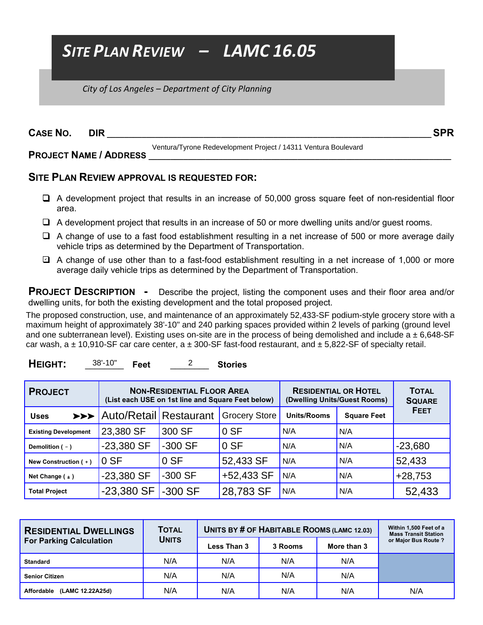## *SITE PLAN REVIEW – LAMC 16.05*

 *City of Los Angeles – Department of City Planning* 

| <b>CASE NO.</b> | <b>DIR</b>                    |                                                                | <b>SPR</b> |
|-----------------|-------------------------------|----------------------------------------------------------------|------------|
|                 | <b>PROJECT NAME / ADDRESS</b> | Ventura/Tyrone Redevelopment Project / 14311 Ventura Boulevard |            |

## **SITE PLAN REVIEW APPROVAL IS REQUESTED FOR:**

- $\Box$  A development project that results in an increase of 50,000 gross square feet of non-residential floor area.
- $\Box$  A development project that results in an increase of 50 or more dwelling units and/or guest rooms.
- $\Box$  A change of use to a fast food establishment resulting in a net increase of 500 or more average daily vehicle trips as determined by the Department of Transportation.
- □ A change of use other than to a fast-food establishment resulting in a net increase of 1,000 or more average daily vehicle trips as determined by the Department of Transportation.

**PROJECT DESCRIPTION -** Describe the project, listing the component uses and their floor area and/or dwelling units, for both the existing development and the total proposed project.

The proposed construction, use, and maintenance of an approximately 52,433-SF podium-style grocery store with a maximum height of approximately 38'-10" and 240 parking spaces provided within 2 levels of parking (ground level and one subterranean level). Existing uses on-site are in the process of being demolished and include  $a \pm 6,648$ -SF car wash, a  $\pm$  10,910-SF car care center, a  $\pm$  300-SF fast-food restaurant, and  $\pm$  5,822-SF of specialty retail.

| HEIGHT: | $38' - 10"$ | Feet |  | <b>Stories</b> |
|---------|-------------|------|--|----------------|
|---------|-------------|------|--|----------------|

| <b>PROJECT</b>              | <b>NON-RESIDENTIAL FLOOR AREA</b><br>(List each USE on 1st line and Square Feet below) |           |                      | <b>RESIDENTIAL OR HOTEL</b><br>(Dwelling Units/Guest Rooms) | <b>TOTAL</b><br><b>SQUARE</b> |             |
|-----------------------------|----------------------------------------------------------------------------------------|-----------|----------------------|-------------------------------------------------------------|-------------------------------|-------------|
| <b>Uses</b>                 | >>> Auto/Retail Restaurant                                                             |           | <b>Grocery Store</b> | <b>Units/Rooms</b>                                          | <b>Square Feet</b>            | <b>FEET</b> |
| <b>Existing Development</b> | 23,380 SF                                                                              | 300 SF    | 0 S F                | N/A                                                         | N/A                           |             |
| Demolition $(-)$            | $-23,380$ SF                                                                           | -300 SF   | 0 SF                 | N/A                                                         | N/A                           | $-23,680$   |
| New Construction (+)        | 0 S F                                                                                  | 0 S F     | 52,433 SF            | N/A                                                         | N/A                           | 52,433      |
| Net Change $( \pm )$        | $-23,380$ SF                                                                           | $-300$ SF | +52,433 SF           | N/A                                                         | N/A                           | $+28,753$   |
| <b>Total Project</b>        | $-23,380$ SF                                                                           | $-300$ SF | 28,783 SF            | N/A                                                         | N/A                           | 52,433      |

| <b>RESIDENTIAL DWELLINGS</b>   | <b>TOTAL</b> | UNITS BY # OF HABITABLE ROOMS (LAMC 12.03) | Within 1,500 Feet of a<br><b>Mass Transit Station</b> |             |                     |
|--------------------------------|--------------|--------------------------------------------|-------------------------------------------------------|-------------|---------------------|
| <b>For Parking Calculation</b> | <b>UNITS</b> | Less Than 3                                | 3 Rooms                                               | More than 3 | or Major Bus Route? |
| <b>Standard</b>                | N/A          | N/A                                        | N/A                                                   | N/A         |                     |
| <b>Senior Citizen</b>          | N/A          | N/A                                        | N/A                                                   | N/A         |                     |
| (LAMC 12.22A25d)<br>Affordable | N/A          | N/A                                        | N/A                                                   | N/A         | N/A                 |